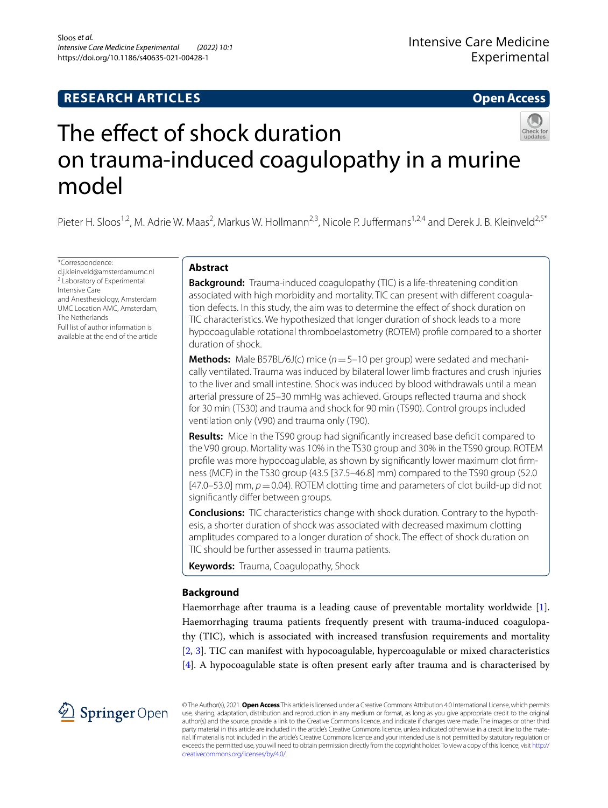# **RESEARCH ARTICLES**

# **Open Access**



# The effect of shock duration on trauma‑induced coagulopathy in a murine model

Pieter H. Sloos<sup>1,2</sup>, M. Adrie W. Maas<sup>2</sup>, Markus W. Hollmann<sup>2,3</sup>, Nicole P. Juffermans<sup>1,2,4</sup> and Derek J. B. Kleinveld<sup>2,5\*</sup>

\*Correspondence: d.j.kleinveld@amsterdamumc.nl 2 Laboratory of Experimental Intensive Care and Anesthesiology, Amsterdam UMC Location AMC, Amsterdam, The Netherlands Full list of author information is available at the end of the article

# **Abstract**

**Background:** Trauma-induced coagulopathy (TIC) is a life-threatening condition associated with high morbidity and mortality. TIC can present with diferent coagulation defects. In this study, the aim was to determine the efect of shock duration on TIC characteristics. We hypothesized that longer duration of shock leads to a more hypocoagulable rotational thromboelastometry (ROTEM) profle compared to a shorter duration of shock.

**Methods:** Male B57BL/6J(c) mice (*n*=5–10 per group) were sedated and mechanically ventilated. Trauma was induced by bilateral lower limb fractures and crush injuries to the liver and small intestine. Shock was induced by blood withdrawals until a mean arterial pressure of 25–30 mmHg was achieved. Groups refected trauma and shock for 30 min (TS30) and trauma and shock for 90 min (TS90). Control groups included ventilation only (V90) and trauma only (T90).

**Results:** Mice in the TS90 group had significantly increased base deficit compared to the V90 group. Mortality was 10% in the TS30 group and 30% in the TS90 group. ROTEM profle was more hypocoagulable, as shown by signifcantly lower maximum clot frmness (MCF) in the TS30 group (43.5 [37.5–46.8] mm) compared to the TS90 group (52.0  $[47.0-53.0]$  mm,  $p=0.04$ ). ROTEM clotting time and parameters of clot build-up did not significantly differ between groups.

**Conclusions:** TIC characteristics change with shock duration. Contrary to the hypothesis, a shorter duration of shock was associated with decreased maximum clotting amplitudes compared to a longer duration of shock. The efect of shock duration on TIC should be further assessed in trauma patients.

**Keywords:** Trauma, Coagulopathy, Shock

# **Background**

Haemorrhage after trauma is a leading cause of preventable mortality worldwide [\[1](#page-7-0)]. Haemorrhaging trauma patients frequently present with trauma-induced coagulopathy (TIC), which is associated with increased transfusion requirements and mortality [[2,](#page-7-1) [3\]](#page-7-2). TIC can manifest with hypocoagulable, hypercoagulable or mixed characteristics [[4\]](#page-7-3). A hypocoagulable state is often present early after trauma and is characterised by



© The Author(s), 2021. **Open Access** This article is licensed under a Creative Commons Attribution 4.0 International License, which permits use, sharing, adaptation, distribution and reproduction in any medium or format, as long as you give appropriate credit to the original author(s) and the source, provide a link to the Creative Commons licence, and indicate if changes were made. The images or other third party material in this article are included in the article's Creative Commons licence, unless indicated otherwise in a credit line to the material. If material is not included in the article's Creative Commons licence and your intended use is not permitted by statutory regulation or exceeds the permitted use, you will need to obtain permission directly from the copyright holder. To view a copy of this licence, visit [http://](http://creativecommons.org/licenses/by/4.0/) [creativecommons.org/licenses/by/4.0/.](http://creativecommons.org/licenses/by/4.0/)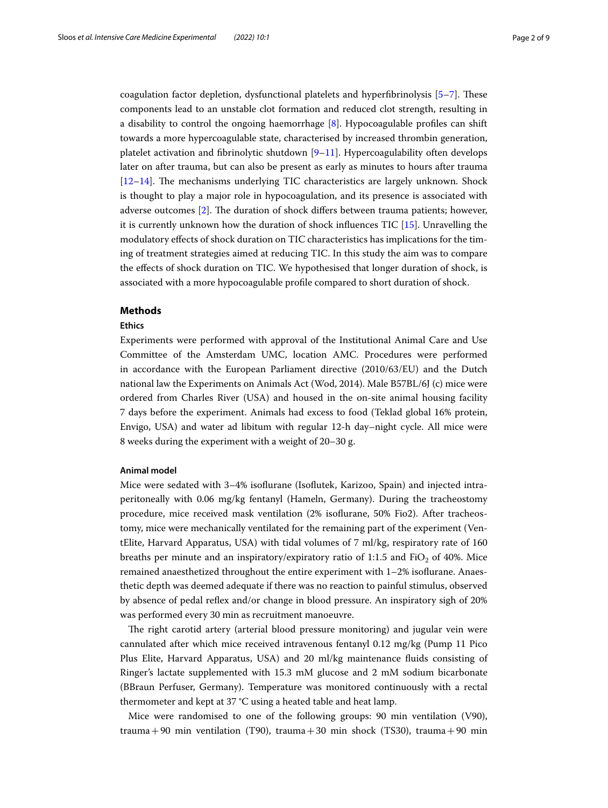coagulation factor depletion, dysfunctional platelets and hyperfbrinolysis [\[5](#page-7-4)[–7](#page-7-5)]. Tese components lead to an unstable clot formation and reduced clot strength, resulting in a disability to control the ongoing haemorrhage [[8](#page-7-6)]. Hypocoagulable profles can shift towards a more hypercoagulable state, characterised by increased thrombin generation, platelet activation and fbrinolytic shutdown [[9–](#page-7-7)[11](#page-7-8)]. Hypercoagulability often develops later on after trauma, but can also be present as early as minutes to hours after trauma  $[12–14]$  $[12–14]$  $[12–14]$  $[12–14]$ . The mechanisms underlying TIC characteristics are largely unknown. Shock is thought to play a major role in hypocoagulation, and its presence is associated with adverse outcomes [\[2](#page-7-1)]. The duration of shock differs between trauma patients; however, it is currently unknown how the duration of shock infuences TIC [\[15](#page-7-11)]. Unravelling the modulatory efects of shock duration on TIC characteristics has implications for the timing of treatment strategies aimed at reducing TIC. In this study the aim was to compare the efects of shock duration on TIC. We hypothesised that longer duration of shock, is associated with a more hypocoagulable profle compared to short duration of shock.

# **Methods**

#### **Ethics**

Experiments were performed with approval of the Institutional Animal Care and Use Committee of the Amsterdam UMC, location AMC. Procedures were performed in accordance with the European Parliament directive (2010/63/EU) and the Dutch national law the Experiments on Animals Act (Wod, 2014). Male B57BL/6J (c) mice were ordered from Charles River (USA) and housed in the on-site animal housing facility 7 days before the experiment. Animals had excess to food (Teklad global 16% protein, Envigo, USA) and water ad libitum with regular 12-h day–night cycle. All mice were 8 weeks during the experiment with a weight of 20–30 g.

#### **Animal model**

Mice were sedated with 3–4% isofurane (Isofutek, Karizoo, Spain) and injected intraperitoneally with 0.06 mg/kg fentanyl (Hameln, Germany). During the tracheostomy procedure, mice received mask ventilation (2% isofurane, 50% Fio2). After tracheostomy, mice were mechanically ventilated for the remaining part of the experiment (VentElite, Harvard Apparatus, USA) with tidal volumes of 7 ml/kg, respiratory rate of 160 breaths per minute and an inspiratory/expiratory ratio of 1:1.5 and FiO<sub>2</sub> of 40%. Mice remained anaesthetized throughout the entire experiment with 1–2% isofurane. Anaesthetic depth was deemed adequate if there was no reaction to painful stimulus, observed by absence of pedal refex and/or change in blood pressure. An inspiratory sigh of 20% was performed every 30 min as recruitment manoeuvre.

The right carotid artery (arterial blood pressure monitoring) and jugular vein were cannulated after which mice received intravenous fentanyl 0.12 mg/kg (Pump 11 Pico Plus Elite, Harvard Apparatus, USA) and 20 ml/kg maintenance fuids consisting of Ringer's lactate supplemented with 15.3 mM glucose and 2 mM sodium bicarbonate (BBraun Perfuser, Germany). Temperature was monitored continuously with a rectal thermometer and kept at 37 °C using a heated table and heat lamp.

Mice were randomised to one of the following groups: 90 min ventilation (V90), trauma + 90 min ventilation (T90), trauma + 30 min shock (TS30), trauma + 90 min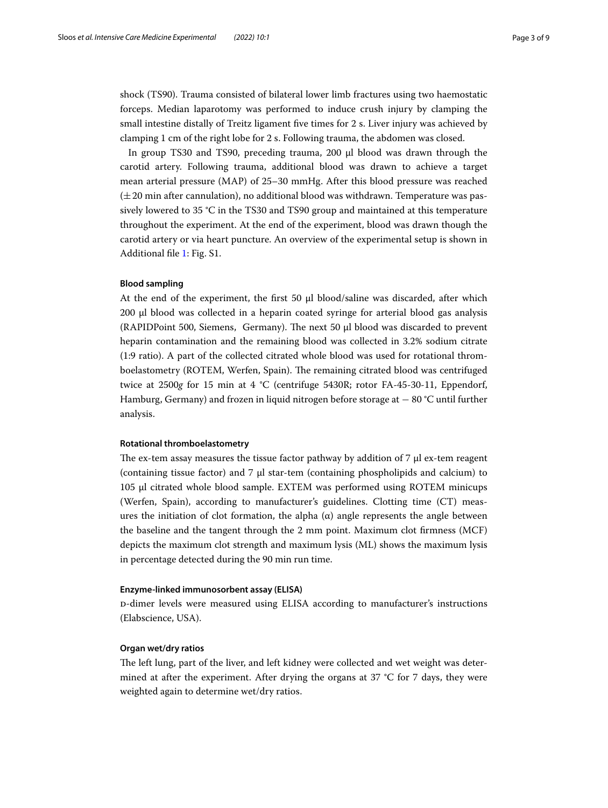shock (TS90). Trauma consisted of bilateral lower limb fractures using two haemostatic forceps. Median laparotomy was performed to induce crush injury by clamping the small intestine distally of Treitz ligament fve times for 2 s. Liver injury was achieved by clamping 1 cm of the right lobe for 2 s. Following trauma, the abdomen was closed.

In group TS30 and TS90, preceding trauma, 200 µl blood was drawn through the carotid artery. Following trauma, additional blood was drawn to achieve a target mean arterial pressure (MAP) of 25–30 mmHg. After this blood pressure was reached  $(\pm 20 \text{ min after canulation})$ , no additional blood was withdrawn. Temperature was passively lowered to 35 °C in the TS30 and TS90 group and maintained at this temperature throughout the experiment. At the end of the experiment, blood was drawn though the carotid artery or via heart puncture. An overview of the experimental setup is shown in Additional fle [1](#page-6-0): Fig. S1.

# **Blood sampling**

At the end of the experiment, the first 50  $\mu$ l blood/saline was discarded, after which  $200 \mu l$  blood was collected in a heparin coated syringe for arterial blood gas analysis (RAPIDPoint 500, Siemens, Germany). The next 50  $\mu$ l blood was discarded to prevent heparin contamination and the remaining blood was collected in 3.2% sodium citrate (1:9 ratio). A part of the collected citrated whole blood was used for rotational thromboelastometry (ROTEM, Werfen, Spain). The remaining citrated blood was centrifuged twice at 2500*g* for 15 min at 4 °C (centrifuge 5430R; rotor FA-45-30-11, Eppendorf, Hamburg, Germany) and frozen in liquid nitrogen before storage at − 80 °C until further analysis.

# **Rotational thromboelastometry**

The ex-tem assay measures the tissue factor pathway by addition of  $7 \mu$  ex-tem reagent (containing tissue factor) and  $7 \mu$  star-tem (containing phospholipids and calcium) to 105 µl citrated whole blood sample. EXTEM was performed using ROTEM minicups (Werfen, Spain), according to manufacturer's guidelines. Clotting time (CT) measures the initiation of clot formation, the alpha  $(\alpha)$  angle represents the angle between the baseline and the tangent through the 2 mm point. Maximum clot frmness (MCF) depicts the maximum clot strength and maximum lysis (ML) shows the maximum lysis in percentage detected during the 90 min run time.

# **Enzyme‑linked immunosorbent assay (ELISA)**

d-dimer levels were measured using ELISA according to manufacturer's instructions (Elabscience, USA).

### **Organ wet/dry ratios**

The left lung, part of the liver, and left kidney were collected and wet weight was determined at after the experiment. After drying the organs at 37  $^{\circ}$ C for 7 days, they were weighted again to determine wet/dry ratios.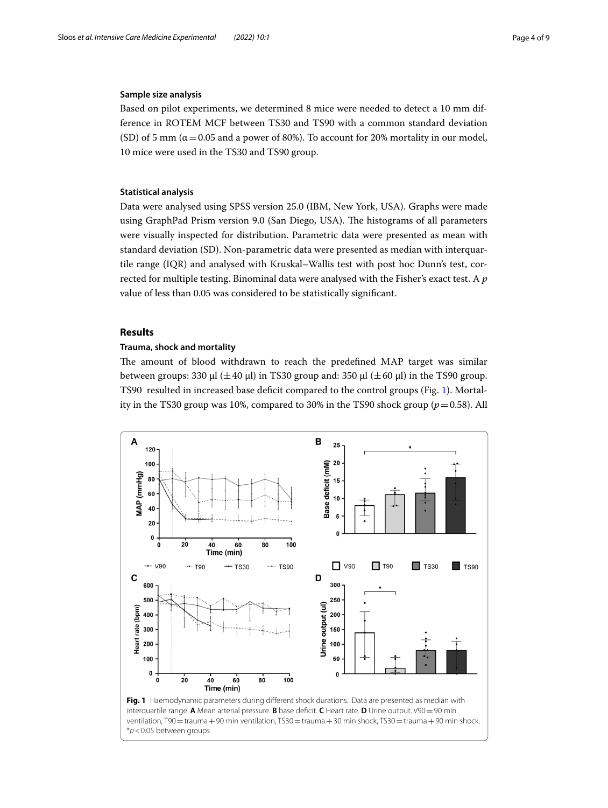# **Sample size analysis**

Based on pilot experiments, we determined 8 mice were needed to detect a 10 mm difference in ROTEM MCF between TS30 and TS90 with a common standard deviation (SD) of 5 mm ( $\alpha$  = 0.05 and a power of 80%). To account for 20% mortality in our model, 10 mice were used in the TS30 and TS90 group.

# **Statistical analysis**

Data were analysed using SPSS version 25.0 (IBM, New York, USA). Graphs were made using GraphPad Prism version 9.0 (San Diego, USA). The histograms of all parameters were visually inspected for distribution. Parametric data were presented as mean with standard deviation (SD). Non-parametric data were presented as median with interquartile range (IQR) and analysed with Kruskal–Wallis test with post hoc Dunn's test, corrected for multiple testing. Binominal data were analysed with the Fisher's exact test. A *p* value of less than 0.05 was considered to be statistically signifcant.

# **Results**

#### **Trauma, shock and mortality**

The amount of blood withdrawn to reach the predefined MAP target was similar between groups: 330  $\mu$ l ( $\pm$ 40  $\mu$ l) in TS30 group and: 350  $\mu$ l ( $\pm$ 60  $\mu$ l) in the TS90 group. TS90 resulted in increased base defcit compared to the control groups (Fig. [1\)](#page-3-0). Mortality in the TS30 group was 10%, compared to 30% in the TS90 shock group (*p*=0.58). All

<span id="page-3-0"></span>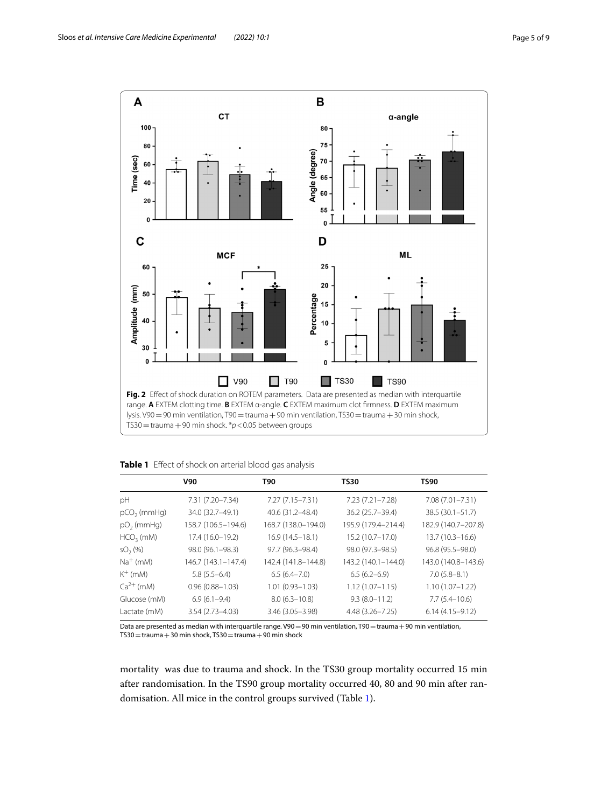

<span id="page-4-1"></span><span id="page-4-0"></span>

| Table 1 Effect of shock on arterial blood gas analysis |
|--------------------------------------------------------|
|--------------------------------------------------------|

|                     | V90                 | T90                 | TS30                | TS90                |
|---------------------|---------------------|---------------------|---------------------|---------------------|
| pH                  | 7.31 (7.20–7.34)    | 7.27 (7.15–7.31)    | 7.23 (7.21–7.28)    | 7.08 (7.01–7.31)    |
| $pCO2$ (mmHq)       | 34.0 (32.7-49.1)    | 40.6 (31.2-48.4)    | 36.2 (25.7-39.4)    | 38.5 (30.1-51.7)    |
| $pO2$ (mmHg)        | 158.7 (106.5-194.6) | 168.7 (138.0-194.0) | 195.9 (179.4-214.4) | 182.9 (140.7-207.8) |
| $HCO3$ (mM)         | 17.4 (16.0-19.2)    | $16.9(14.5 - 18.1)$ | $15.2(10.7 - 17.0)$ | $13.7(10.3 - 16.6)$ |
| SO <sub>2</sub> (%) | 98.0 (96.1-98.3)    | 97.7 (96.3-98.4)    | 98.0 (97.3-98.5)    | 96.8 (95.5 - 98.0)  |
| $Na+$ (mM)          | 146.7 (143.1-147.4) | 142.4 (141.8-144.8) | 143.2 (140.1-144.0) | 143.0 (140.8-143.6) |
| $K^+$ (mM)          | $5.8(5.5-6.4)$      | $6.5(6.4 - 7.0)$    | $6.5(6.2-6.9)$      | $7.0(5.8 - 8.1)$    |
| $Ca^{2+}$ (mM)      | $0.96(0.88 - 1.03)$ | $1.01(0.93 - 1.03)$ | $1.12(1.07 - 1.15)$ | $1.10(1.07 - 1.22)$ |
| Glucose (mM)        | $6.9(6.1 - 9.4)$    | $8.0(6.3 - 10.8)$   | $9.3(8.0 - 11.2)$   | $7.7(5.4 - 10.6)$   |
| Lactate (mM)        | $3.54(2.73 - 4.03)$ | $3.46(3.05 - 3.98)$ | $4.48(3.26 - 7.25)$ | $6.14(4.15-9.12)$   |

Data are presented as median with interquartile range. V90 = 90 min ventilation, T90 = trauma + 90 min ventilation,  $TS30 =$ trauma + 30 min shock, TS30 = trauma + 90 min shock

mortality was due to trauma and shock. In the TS30 group mortality occurred 15 min after randomisation. In the TS90 group mortality occurred 40, 80 and 90 min after randomisation. All mice in the control groups survived (Table [1\)](#page-4-0).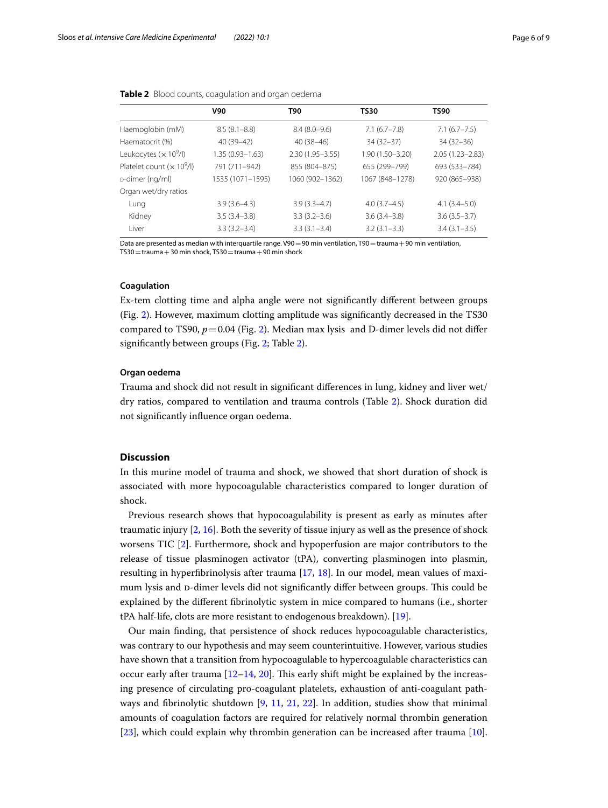|                             | <b>V90</b>          | T90                 | <b>TS30</b>         | <b>TS90</b>         |
|-----------------------------|---------------------|---------------------|---------------------|---------------------|
| Haemoglobin (mM)            | $8.5(8.1 - 8.8)$    | $8.4(8.0-9.6)$      | $7.1(6.7 - 7.8)$    | $7.1(6.7 - 7.5)$    |
| Haematocrit (%)             | $40(39-42)$         | $40(38-46)$         | $34(32-37)$         | $34(32 - 36)$       |
| Leukocytes $(x 10^9/l)$     | $1.35(0.93 - 1.63)$ | $2.30(1.95 - 3.55)$ | $1.90(1.50 - 3.20)$ | $2.05(1.23 - 2.83)$ |
| Platelet count $(x 10^9/l)$ | 791 (711-942)       | 855 (804-875)       | 655 (299-799)       | 693 (533-784)       |
| D-dimer (ng/ml)             | 1535 (1071-1595)    | 1060 (902-1362)     | 1067 (848-1278)     | 920 (865-938)       |
| Organ wet/dry ratios        |                     |                     |                     |                     |
| Lung                        | $3.9(3.6-4.3)$      | $3.9(3.3-4.7)$      | $4.0(3.7-4.5)$      | $4.1(3.4 - 5.0)$    |
| Kidney                      | $3.5(3.4 - 3.8)$    | $3.3(3.2 - 3.6)$    | $3.6(3.4 - 3.8)$    | $3.6(3.5-3.7)$      |
| l iver                      | $3.3(3.2 - 3.4)$    | $3.3(3.1 - 3.4)$    | $3.2(3.1 - 3.3)$    | $3.4(3.1 - 3.5)$    |
|                             |                     |                     |                     |                     |

<span id="page-5-0"></span>

| Table 2 Blood counts, coagulation and organ oedema |  |  |
|----------------------------------------------------|--|--|

Data are presented as median with interquartile range. V90 = 90 min ventilation, T90 = trauma +90 min ventilation,  $TS30 =$ trauma + 30 min shock, TS30 = trauma + 90 min shock

## **Coagulation**

Ex-tem clotting time and alpha angle were not signifcantly diferent between groups (Fig. [2](#page-4-1)). However, maximum clotting amplitude was signifcantly decreased in the TS30 compared to TS90,  $p = 0.04$  (Fig. [2](#page-4-1)). Median max lysis and D-dimer levels did not differ signifcantly between groups (Fig. [2;](#page-4-1) Table [2\)](#page-5-0).

# **Organ oedema**

Trauma and shock did not result in signifcant diferences in lung, kidney and liver wet/ dry ratios, compared to ventilation and trauma controls (Table [2\)](#page-5-0). Shock duration did not signifcantly infuence organ oedema.

# **Discussion**

In this murine model of trauma and shock, we showed that short duration of shock is associated with more hypocoagulable characteristics compared to longer duration of shock.

Previous research shows that hypocoagulability is present as early as minutes after traumatic injury [\[2](#page-7-1), [16\]](#page-7-12). Both the severity of tissue injury as well as the presence of shock worsens TIC [\[2](#page-7-1)]. Furthermore, shock and hypoperfusion are major contributors to the release of tissue plasminogen activator (tPA), converting plasminogen into plasmin, resulting in hyperfibrinolysis after trauma  $[17, 18]$  $[17, 18]$  $[17, 18]$  $[17, 18]$ . In our model, mean values of maximum lysis and p-dimer levels did not significantly differ between groups. This could be explained by the diferent fbrinolytic system in mice compared to humans (i.e., shorter tPA half-life, clots are more resistant to endogenous breakdown). [\[19](#page-8-1)].

Our main fnding, that persistence of shock reduces hypocoagulable characteristics, was contrary to our hypothesis and may seem counterintuitive. However, various studies have shown that a transition from hypocoagulable to hypercoagulable characteristics can occur early after trauma  $[12–14, 20]$  $[12–14, 20]$  $[12–14, 20]$  $[12–14, 20]$  $[12–14, 20]$ . This early shift might be explained by the increasing presence of circulating pro-coagulant platelets, exhaustion of anti-coagulant pathways and fbrinolytic shutdown [\[9,](#page-7-7) [11](#page-7-8), [21,](#page-8-3) [22](#page-8-4)]. In addition, studies show that minimal amounts of coagulation factors are required for relatively normal thrombin generation [[23\]](#page-8-5), which could explain why thrombin generation can be increased after trauma [\[10](#page-7-14)].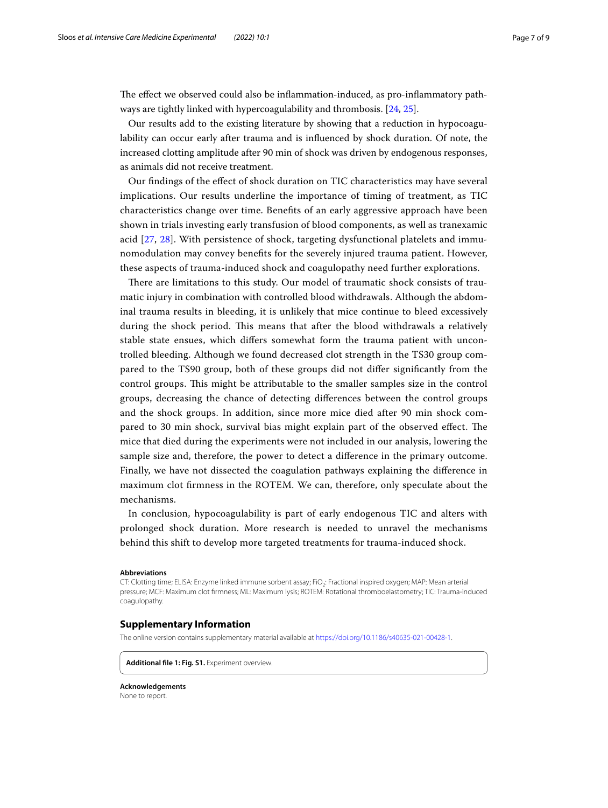The effect we observed could also be inflammation-induced, as pro-inflammatory pathways are tightly linked with hypercoagulability and thrombosis. [[24,](#page-8-6) [25](#page-8-7)].

Our results add to the existing literature by showing that a reduction in hypocoagulability can occur early after trauma and is infuenced by shock duration. Of note, the increased clotting amplitude after 90 min of shock was driven by endogenous responses, as animals did not receive treatment.

Our fndings of the efect of shock duration on TIC characteristics may have several implications. Our results underline the importance of timing of treatment, as TIC characteristics change over time. Benefts of an early aggressive approach have been shown in trials investing early transfusion of blood components, as well as tranexamic acid [\[27](#page-8-8), [28\]](#page-8-9). With persistence of shock, targeting dysfunctional platelets and immunomodulation may convey benefts for the severely injured trauma patient. However, these aspects of trauma-induced shock and coagulopathy need further explorations.

There are limitations to this study. Our model of traumatic shock consists of traumatic injury in combination with controlled blood withdrawals. Although the abdominal trauma results in bleeding, it is unlikely that mice continue to bleed excessively during the shock period. This means that after the blood withdrawals a relatively stable state ensues, which difers somewhat form the trauma patient with uncontrolled bleeding. Although we found decreased clot strength in the TS30 group compared to the TS90 group, both of these groups did not difer signifcantly from the control groups. Tis might be attributable to the smaller samples size in the control groups, decreasing the chance of detecting diferences between the control groups and the shock groups. In addition, since more mice died after 90 min shock compared to 30 min shock, survival bias might explain part of the observed effect. The mice that died during the experiments were not included in our analysis, lowering the sample size and, therefore, the power to detect a diference in the primary outcome. Finally, we have not dissected the coagulation pathways explaining the diference in maximum clot frmness in the ROTEM. We can, therefore, only speculate about the mechanisms.

In conclusion, hypocoagulability is part of early endogenous TIC and alters with prolonged shock duration. More research is needed to unravel the mechanisms behind this shift to develop more targeted treatments for trauma-induced shock.

#### **Abbreviations**

CT: Clotting time; ELISA: Enzyme linked immune sorbent assay; FiO<sub>2</sub>: Fractional inspired oxygen; MAP: Mean arterial pressure; MCF: Maximum clot frmness; ML: Maximum lysis; ROTEM: Rotational thromboelastometry; TIC: Trauma-induced coagulopathy.

## **Supplementary Information**

The online version contains supplementary material available at [https://doi.org/10.1186/s40635-021-00428-1.](https://doi.org/10.1186/s40635-021-00428-1)

<span id="page-6-0"></span>**Additional fle 1: Fig. S1.** Experiment overview.

**Acknowledgements** None to report.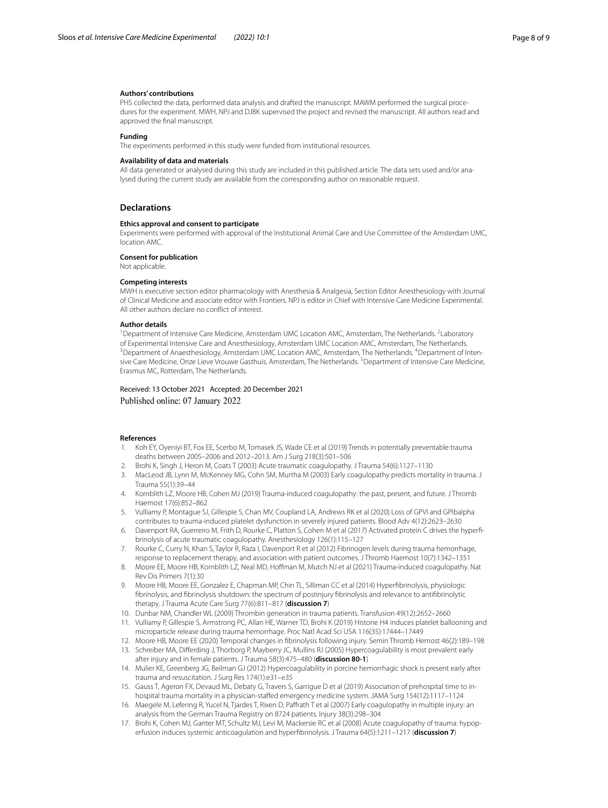#### **Authors' contributions**

PHS collected the data, performed data analysis and drafted the manuscript. MAWM performed the surgical procedures for the experiment. MWH, NPJ and DJBK supervised the project and revised the manuscript. All authors read and approved the fnal manuscript.

#### **Funding**

The experiments performed in this study were funded from institutional resources.

#### **Availability of data and materials**

All data generated or analysed during this study are included in this published article. The data sets used and/or analysed during the current study are available from the corresponding author on reasonable request.

#### **Declarations**

#### **Ethics approval and consent to participate**

Experiments were performed with approval of the Institutional Animal Care and Use Committee of the Amsterdam UMC, location AMC.

**Consent for publication**

Not applicable.

#### **Competing interests**

MWH is executive section editor pharmacology with Anesthesia & Analgesia, Section Editor Anesthesiology with Journal of Clinical Medicine and associate editor with Frontiers. NPJ is editor in Chief with Intensive Care Medicine Experimental. All other authors declare no confict of interest.

#### **Author details**

<sup>1</sup> Department of Intensive Care Medicine, Amsterdam UMC Location AMC, Amsterdam, The Netherlands. <sup>2</sup> Laboratory of Experimental Intensive Care and Anesthesiology, Amsterdam UMC Location AMC, Amsterdam, The Netherlands. 3 Department of Anaesthesiology, Amsterdam UMC Location AMC, Amsterdam, The Netherlands. <sup>4</sup>Department of Intensive Care Medicine, Onze Lieve Vrouwe Gasthuis, Amsterdam, The Netherlands. <sup>5</sup> Department of Intensive Care Medicine, Erasmus MC, Rotterdam, The Netherlands.

Received: 13 October 2021 Accepted: 20 December 2021 Published online: 07 January 2022

#### **References**

- <span id="page-7-0"></span>1. Koh EY, Oyeniyi BT, Fox EE, Scerbo M, Tomasek JS, Wade CE et al (2019) Trends in potentially preventable trauma deaths between 2005–2006 and 2012–2013. Am J Surg 218(3):501–506
- <span id="page-7-1"></span>2. Brohi K, Singh J, Heron M, Coats T (2003) Acute traumatic coagulopathy. J Trauma 54(6):1127–1130
- <span id="page-7-2"></span>3. MacLeod JB, Lynn M, McKenney MG, Cohn SM, Murtha M (2003) Early coagulopathy predicts mortality in trauma. J Trauma 55(1):39–44
- <span id="page-7-3"></span>4. Kornblith LZ, Moore HB, Cohen MJ (2019) Trauma-induced coagulopathy: the past, present, and future. J Thromb Haemost 17(6):852–862
- <span id="page-7-4"></span>5. Vulliamy P, Montague SJ, Gillespie S, Chan MV, Coupland LA, Andrews RK et al (2020) Loss of GPVI and GPIbalpha contributes to trauma-induced platelet dysfunction in severely injured patients. Blood Adv 4(12):2623–2630
- 6. Davenport RA, Guerreiro M, Frith D, Rourke C, Platton S, Cohen M et al (2017) Activated protein C drives the hyperfbrinolysis of acute traumatic coagulopathy. Anesthesiology 126(1):115–127
- <span id="page-7-5"></span>7. Rourke C, Curry N, Khan S, Taylor R, Raza I, Davenport R et al (2012) Fibrinogen levels during trauma hemorrhage, response to replacement therapy, and association with patient outcomes. J Thromb Haemost 10(7):1342–1351
- <span id="page-7-6"></span>8. Moore EE, Moore HB, Kornblith LZ, Neal MD, Hoffman M, Mutch NJ et al (2021) Trauma-induced coagulopathy. Nat Rev Dis Primers 7(1):30
- <span id="page-7-7"></span>9. Moore HB, Moore EE, Gonzalez E, Chapman MP, Chin TL, Silliman CC et al (2014) Hyperfbrinolysis, physiologic fbrinolysis, and fbrinolysis shutdown: the spectrum of postinjury fbrinolysis and relevance to antifbrinolytic therapy. J Trauma Acute Care Surg 77(6):811–817 (**discussion 7**)
- <span id="page-7-14"></span>10. Dunbar NM, Chandler WL (2009) Thrombin generation in trauma patients. Transfusion 49(12):2652–2660
- <span id="page-7-8"></span>11. Vulliamy P, Gillespie S, Armstrong PC, Allan HE, Warner TD, Brohi K (2019) Histone H4 induces platelet ballooning and microparticle release during trauma hemorrhage. Proc Natl Acad Sci USA 116(35):17444–17449
- <span id="page-7-9"></span>12. Moore HB, Moore EE (2020) Temporal changes in fbrinolysis following injury. Semin Thromb Hemost 46(2):189–198
- 13. Schreiber MA, Diferding J, Thorborg P, Mayberry JC, Mullins RJ (2005) Hypercoagulability is most prevalent early after injury and in female patients. J Trauma 58(3):475–480 (**discussion 80-1**)
- <span id="page-7-10"></span>14. Mulier KE, Greenberg JG, Beilman GJ (2012) Hypercoagulability in porcine hemorrhagic shock is present early after trauma and resuscitation. J Surg Res 174(1):e31–e35
- <span id="page-7-11"></span>15. Gauss T, Ageron FX, Devaud ML, Debaty G, Travers S, Garrigue D et al (2019) Association of prehospital time to inhospital trauma mortality in a physician-stafed emergency medicine system. JAMA Surg 154(12):1117–1124
- <span id="page-7-12"></span>16. Maegele M, Lefering R, Yucel N, Tjardes T, Rixen D, Pafrath T et al (2007) Early coagulopathy in multiple injury: an analysis from the German Trauma Registry on 8724 patients. Injury 38(3):298–304
- <span id="page-7-13"></span>17. Brohi K, Cohen MJ, Ganter MT, Schultz MJ, Levi M, Mackersie RC et al (2008) Acute coagulopathy of trauma: hypoperfusion induces systemic anticoagulation and hyperfbrinolysis. J Trauma 64(5):1211–1217 (**discussion 7**)